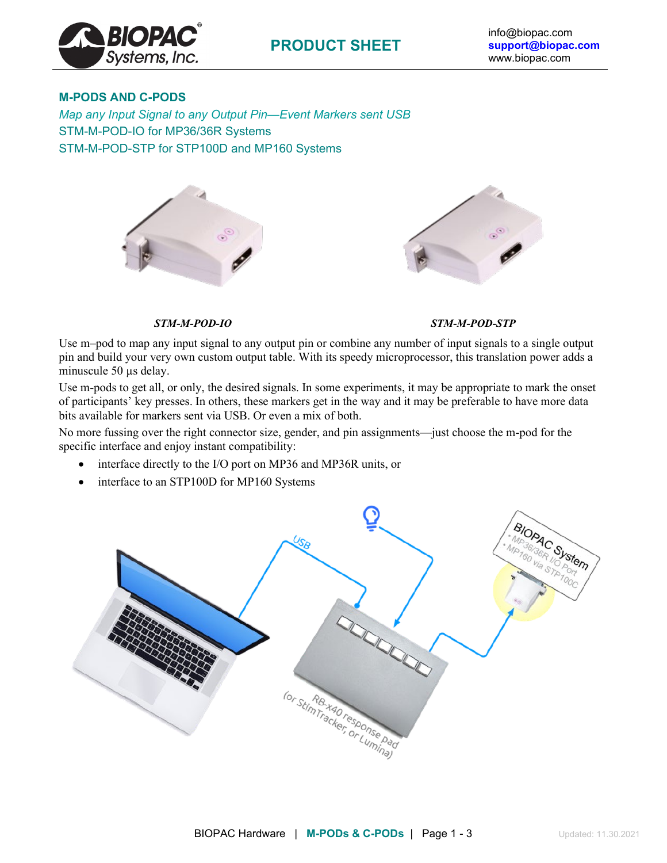

## **M-PODS AND C-PODS**

*Map any Input Signal to any Output Pin—Event Markers sent USB* STM-M-POD-IO for MP36/36R Systems STM-M-POD-STP for STP100D and MP160 Systems



#### *STM-M-POD-IO STM-M-POD-STP*

Use m–pod to map any input signal to any output pin or combine any number of input signals to a single output pin and build your very own custom output table. With its speedy microprocessor, this translation power adds a minuscule 50 µs delay.

Use m-pods to get all, or only, the desired signals. In some experiments, it may be appropriate to mark the onset of participants' key presses. In others, these markers get in the way and it may be preferable to have more data bits available for markers sent via USB. Or even a mix of both.

No more fussing over the right connector size, gender, and pin assignments—just choose the m-pod for the specific interface and enjoy instant compatibility:

- interface directly to the I/O port on MP36 and MP36R units, or
- interface to an STP100D for MP160 Systems

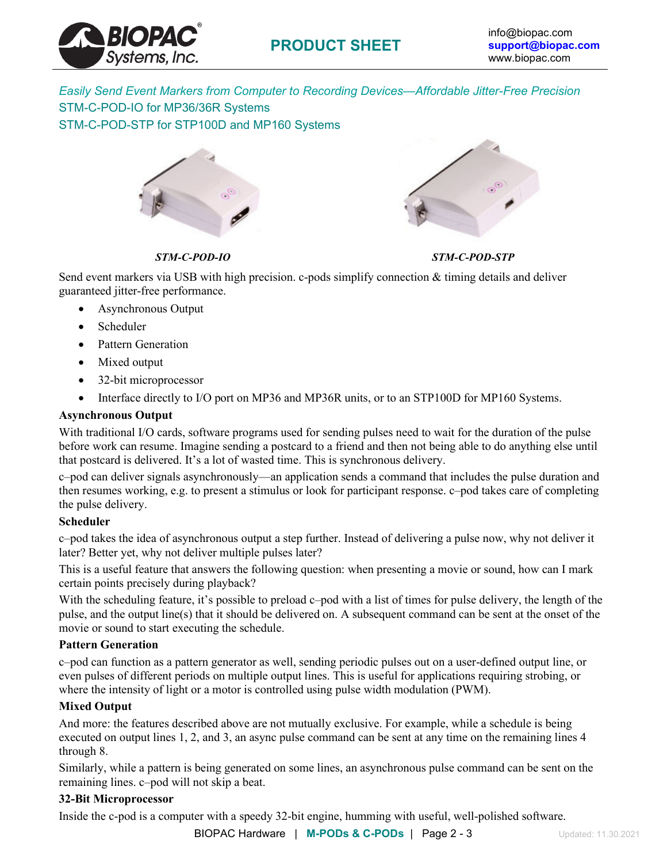

*Easily Send Event Markers from Computer to Recording Devices—Affordable Jitter-Free Precision* STM-C-POD-IO for MP36/36R Systems STM-C-POD-STP for STP100D and MP160 Systems



*STM-C-POD-IO STM-C-POD-STP*

Send event markers via USB with high precision. c-pods simplify connection & timing details and deliver guaranteed jitter-free performance.

- Asynchronous Output
- Scheduler
- Pattern Generation
- Mixed output
- 32-bit microprocessor
- Interface directly to I/O port on MP36 and MP36R units, or to an STP100D for MP160 Systems.

### **Asynchronous Output**

With traditional I/O cards, software programs used for sending pulses need to wait for the duration of the pulse before work can resume. Imagine sending a postcard to a friend and then not being able to do anything else until that postcard is delivered. It's a lot of wasted time. This is synchronous delivery.

c–pod can deliver signals asynchronously—an application sends a command that includes the pulse duration and then resumes working, e.g. to present a stimulus or look for participant response. c–pod takes care of completing the pulse delivery.

### **Scheduler**

c–pod takes the idea of asynchronous output a step further. Instead of delivering a pulse now, why not deliver it later? Better yet, why not deliver multiple pulses later?

This is a useful feature that answers the following question: when presenting a movie or sound, how can I mark certain points precisely during playback?

With the scheduling feature, it's possible to preload c–pod with a list of times for pulse delivery, the length of the pulse, and the output line(s) that it should be delivered on. A subsequent command can be sent at the onset of the movie or sound to start executing the schedule.

### **Pattern Generation**

c–pod can function as a pattern generator as well, sending periodic pulses out on a user-defined output line, or even pulses of different periods on multiple output lines. This is useful for applications requiring strobing, or where the intensity of light or a motor is controlled using pulse width modulation (PWM).

### **Mixed Output**

And more: the features described above are not mutually exclusive. For example, while a schedule is being executed on output lines 1, 2, and 3, an async pulse command can be sent at any time on the remaining lines 4 through 8.

Similarly, while a pattern is being generated on some lines, an asynchronous pulse command can be sent on the remaining lines. c–pod will not skip a beat.

### **32-Bit Microprocessor**

Inside the c-pod is a computer with a speedy 32-bit engine, humming with useful, well-polished software.